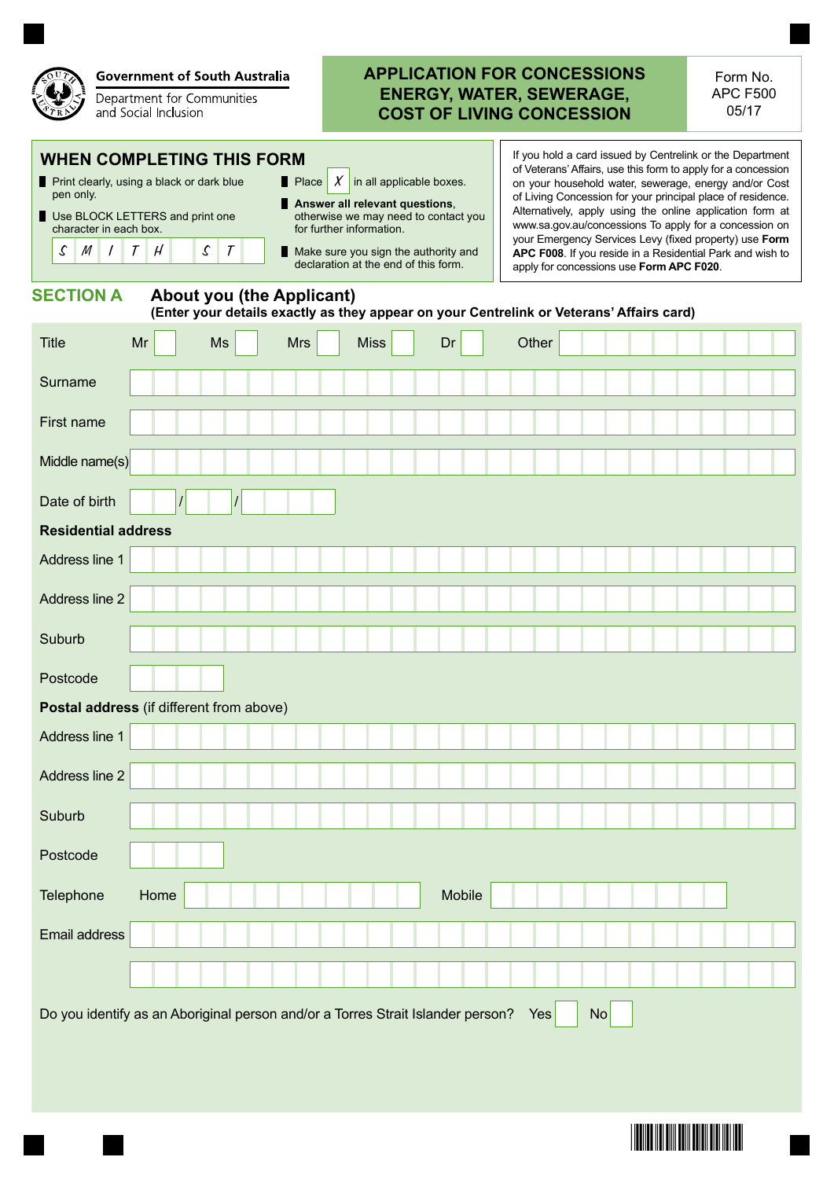

## **Government of South Australia**

Department for Communities and Social Inclusion

## **APPLICATION FOR CONCESSIONS ENERGY, WATER, SEWERAGE, COST OF LIVING CONCESSION**

Form No. APC F500 05/17

## **WHEN COMPLETING THIS FORM**

- **Print clearly, using a black or dark blue** pen only.
- Use BLOCK LETTERS and print one character in each box.

 $S$  M I T H S T

**Answer all relevant questions**, otherwise we may need to contact you for further information.

Place  $X$  in all applicable boxes.

Make sure you sign the authority and declaration at the end of this form.

If you hold a card issued by Centrelink or the Department of Veterans' Affairs, use this form to apply for a concession on your household water, sewerage, energy and/or Cost of Living Concession for your principal place of residence. Alternatively, apply using the online application form at www.sa.gov.au/concessions To apply for a concession on your Emergency Services Levy (fixed property) use **Form APC F008**. If you reside in a Residential Park and wish to apply for concessions use **Form APC F020**.

<u>\*F600H1\*F50H1\*F50H1\*F50H1\*F50H1\*F50H1\*F50H1\*F50H1\*F50H1\*F50H1\*F50H1\*F50H1\*F50H1\*F50H1\*F50H1\*F50H1\*F50H1\*F50H1\*F50H</u>

## **SECTION A About you (the Applicant)**

## **(Enter your details exactly as they appear on your Centrelink or Veterans' Affairs card)**

| <b>Title</b>                             | Mr                                                                                                  |  | Ms       | <b>Mrs</b> |  | <b>Miss</b> |  | Dr     | Other |  |  |  |  |
|------------------------------------------|-----------------------------------------------------------------------------------------------------|--|----------|------------|--|-------------|--|--------|-------|--|--|--|--|
| Surname                                  |                                                                                                     |  |          |            |  |             |  |        |       |  |  |  |  |
| First name                               |                                                                                                     |  |          |            |  |             |  |        |       |  |  |  |  |
| Middle name(s)                           |                                                                                                     |  |          |            |  |             |  |        |       |  |  |  |  |
| Date of birth                            |                                                                                                     |  | $\prime$ |            |  |             |  |        |       |  |  |  |  |
| <b>Residential address</b>               |                                                                                                     |  |          |            |  |             |  |        |       |  |  |  |  |
| Address line 1                           |                                                                                                     |  |          |            |  |             |  |        |       |  |  |  |  |
| Address line 2                           |                                                                                                     |  |          |            |  |             |  |        |       |  |  |  |  |
| Suburb                                   |                                                                                                     |  |          |            |  |             |  |        |       |  |  |  |  |
| Postcode                                 |                                                                                                     |  |          |            |  |             |  |        |       |  |  |  |  |
| Postal address (if different from above) |                                                                                                     |  |          |            |  |             |  |        |       |  |  |  |  |
| Address line 1                           |                                                                                                     |  |          |            |  |             |  |        |       |  |  |  |  |
| Address line 2                           |                                                                                                     |  |          |            |  |             |  |        |       |  |  |  |  |
| Suburb                                   |                                                                                                     |  |          |            |  |             |  |        |       |  |  |  |  |
| Postcode                                 |                                                                                                     |  |          |            |  |             |  |        |       |  |  |  |  |
| Telephone                                | Home                                                                                                |  |          |            |  |             |  | Mobile |       |  |  |  |  |
| Email address                            |                                                                                                     |  |          |            |  |             |  |        |       |  |  |  |  |
|                                          |                                                                                                     |  |          |            |  |             |  |        |       |  |  |  |  |
|                                          | Do you identify as an Aboriginal person and/or a Torres Strait Islander person?<br><b>No</b><br>Yes |  |          |            |  |             |  |        |       |  |  |  |  |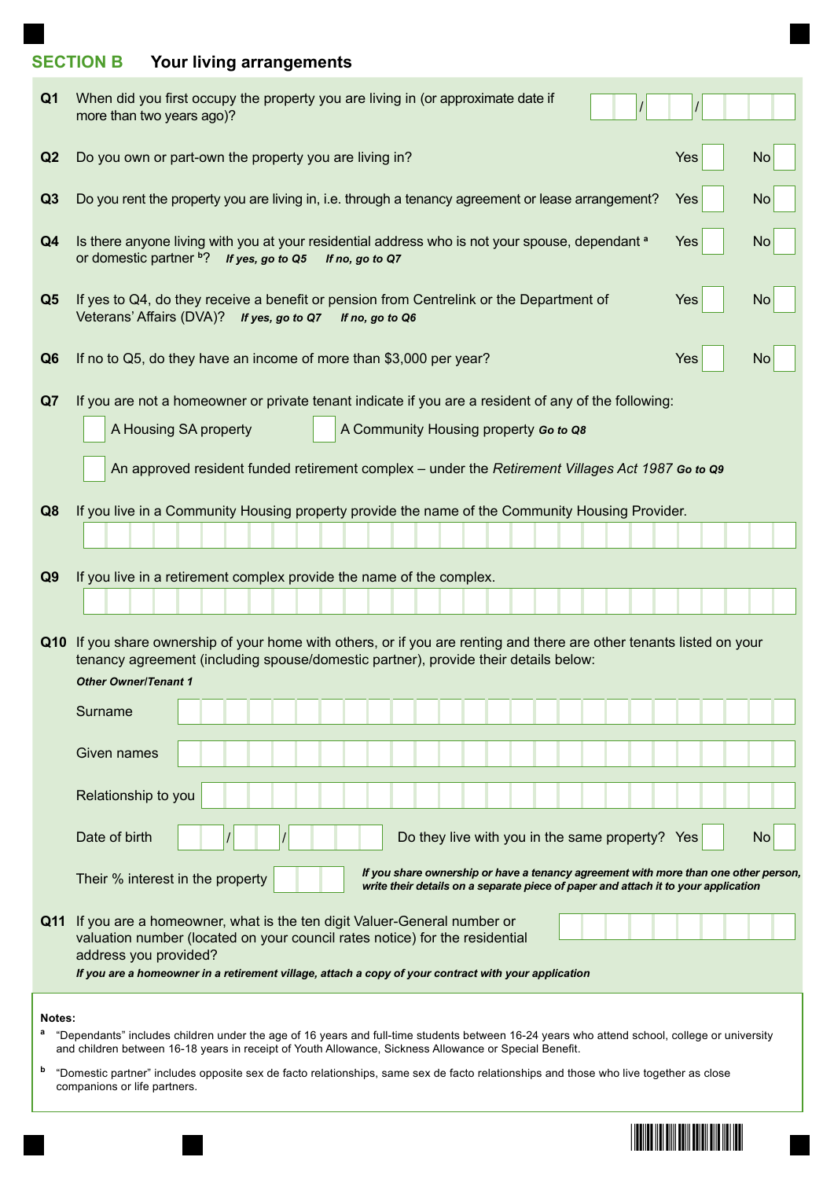# **SECTION B Your living arrangements**

| Q1             | When did you first occupy the property you are living in (or approximate date if<br>more than two years ago)?                                                                                                                                                                              |            |                |  |  |  |  |  |
|----------------|--------------------------------------------------------------------------------------------------------------------------------------------------------------------------------------------------------------------------------------------------------------------------------------------|------------|----------------|--|--|--|--|--|
| Q2             | Do you own or part-own the property you are living in?                                                                                                                                                                                                                                     | <b>Yes</b> | <b>No</b>      |  |  |  |  |  |
| Q <sub>3</sub> | Do you rent the property you are living in, i.e. through a tenancy agreement or lease arrangement?<br><b>Yes</b><br><b>No</b>                                                                                                                                                              |            |                |  |  |  |  |  |
| Q4             | Is there anyone living with you at your residential address who is not your spouse, dependant a<br>or domestic partner b? If yes, go to Q5<br>If no, go to Q7                                                                                                                              | <b>Yes</b> | <b>No</b>      |  |  |  |  |  |
| Q <sub>5</sub> | If yes to Q4, do they receive a benefit or pension from Centrelink or the Department of<br>Veterans' Affairs (DVA)? If yes, go to Q7 If no, go to Q6                                                                                                                                       | <b>Yes</b> | <b>No</b>      |  |  |  |  |  |
| Q <sub>6</sub> | If no to Q5, do they have an income of more than \$3,000 per year?                                                                                                                                                                                                                         | <b>Yes</b> | N <sub>o</sub> |  |  |  |  |  |
| Q7             | If you are not a homeowner or private tenant indicate if you are a resident of any of the following:                                                                                                                                                                                       |            |                |  |  |  |  |  |
|                | A Housing SA property<br>A Community Housing property Go to Q8                                                                                                                                                                                                                             |            |                |  |  |  |  |  |
|                | An approved resident funded retirement complex – under the Retirement Villages Act 1987 Go to Q9                                                                                                                                                                                           |            |                |  |  |  |  |  |
|                |                                                                                                                                                                                                                                                                                            |            |                |  |  |  |  |  |
| Q8             | If you live in a Community Housing property provide the name of the Community Housing Provider.                                                                                                                                                                                            |            |                |  |  |  |  |  |
|                |                                                                                                                                                                                                                                                                                            |            |                |  |  |  |  |  |
| Q <sub>9</sub> | If you live in a retirement complex provide the name of the complex.                                                                                                                                                                                                                       |            |                |  |  |  |  |  |
|                |                                                                                                                                                                                                                                                                                            |            |                |  |  |  |  |  |
|                | Q10 If you share ownership of your home with others, or if you are renting and there are other tenants listed on your                                                                                                                                                                      |            |                |  |  |  |  |  |
|                | tenancy agreement (including spouse/domestic partner), provide their details below:<br><b>Other Owner/Tenant 1</b>                                                                                                                                                                         |            |                |  |  |  |  |  |
|                | Surname                                                                                                                                                                                                                                                                                    |            |                |  |  |  |  |  |
|                |                                                                                                                                                                                                                                                                                            |            |                |  |  |  |  |  |
|                | Given names                                                                                                                                                                                                                                                                                |            |                |  |  |  |  |  |
|                | Relationship to you                                                                                                                                                                                                                                                                        |            |                |  |  |  |  |  |
|                | Do they live with you in the same property? Yes<br>Date of birth                                                                                                                                                                                                                           |            | <b>No</b>      |  |  |  |  |  |
|                | If you share ownership or have a tenancy agreement with more than one other person,<br>Their % interest in the property<br>write their details on a separate piece of paper and attach it to your application                                                                              |            |                |  |  |  |  |  |
|                | Q11 If you are a homeowner, what is the ten digit Valuer-General number or<br>valuation number (located on your council rates notice) for the residential<br>address you provided?<br>If you are a homeowner in a retirement village, attach a copy of your contract with your application |            |                |  |  |  |  |  |
| Notes:         |                                                                                                                                                                                                                                                                                            |            |                |  |  |  |  |  |
|                | "Dependants" includes children under the age of 16 years and full-time students between 16-24 years who attend school, college or university<br>and children between 16-18 years in receipt of Youth Allowance, Sickness Allowance or Special Benefit.                                     |            |                |  |  |  |  |  |
| b              | "Domestic partner" includes opposite sex de facto relationships, same sex de facto relationships and those who live together as close<br>companions or life partners.                                                                                                                      |            |                |  |  |  |  |  |

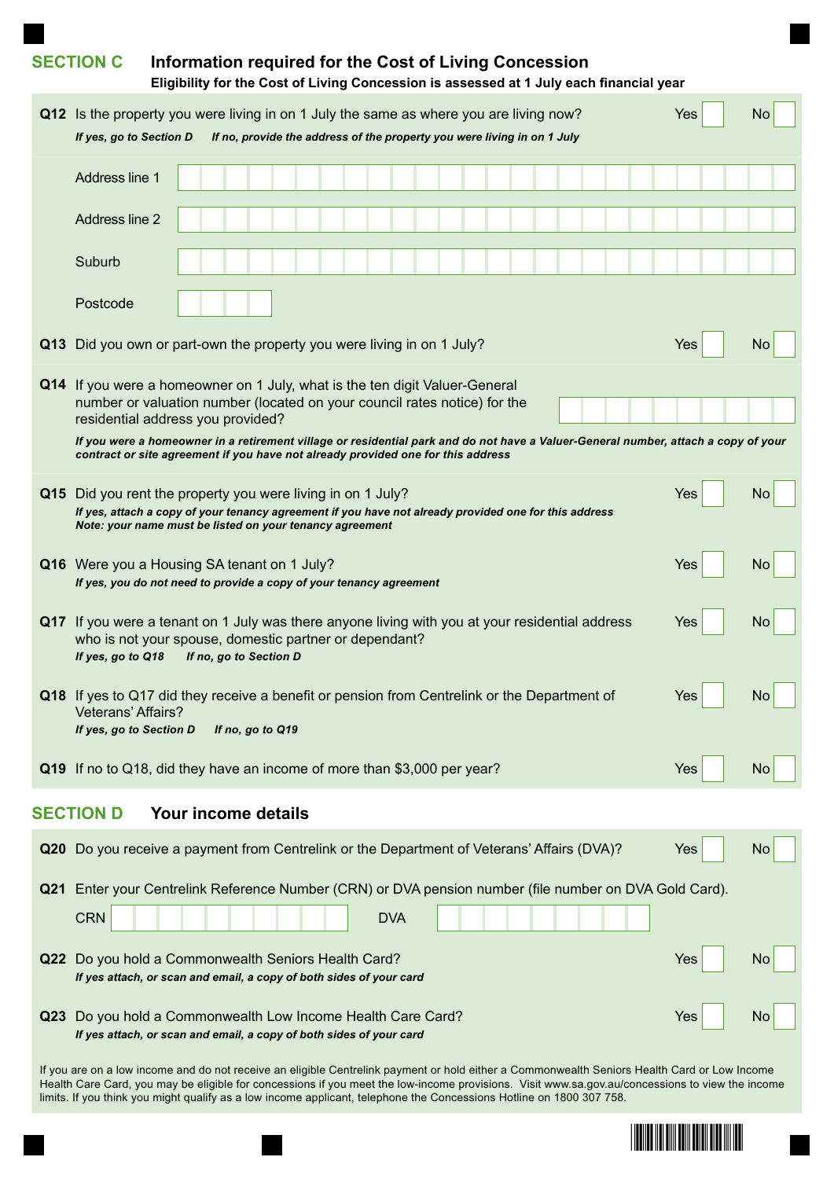|     | <b>SECTION C</b>                                                                                                                                                                                                                                                                                                                                                                                                        | Information required for the Cost of Living Concession<br>Eligibility for the Cost of Living Concession is assessed at 1 July each financial year |                                                                         |  |            |  |  |  |  |     |     |  |
|-----|-------------------------------------------------------------------------------------------------------------------------------------------------------------------------------------------------------------------------------------------------------------------------------------------------------------------------------------------------------------------------------------------------------------------------|---------------------------------------------------------------------------------------------------------------------------------------------------|-------------------------------------------------------------------------|--|------------|--|--|--|--|-----|-----|--|
|     | <b>Q12</b> Is the property you were living in on 1 July the same as where you are living now?<br>If yes, go to Section D                                                                                                                                                                                                                                                                                                |                                                                                                                                                   | If no, provide the address of the property you were living in on 1 July |  |            |  |  |  |  | Yes | No  |  |
|     | Address line 1                                                                                                                                                                                                                                                                                                                                                                                                          |                                                                                                                                                   |                                                                         |  |            |  |  |  |  |     |     |  |
|     | Address line 2                                                                                                                                                                                                                                                                                                                                                                                                          |                                                                                                                                                   |                                                                         |  |            |  |  |  |  |     |     |  |
|     | Suburb                                                                                                                                                                                                                                                                                                                                                                                                                  |                                                                                                                                                   |                                                                         |  |            |  |  |  |  |     |     |  |
|     | Postcode                                                                                                                                                                                                                                                                                                                                                                                                                |                                                                                                                                                   |                                                                         |  |            |  |  |  |  |     |     |  |
|     | Q13 Did you own or part-own the property you were living in on 1 July?                                                                                                                                                                                                                                                                                                                                                  |                                                                                                                                                   |                                                                         |  |            |  |  |  |  | Yes | No. |  |
|     | Q14 If you were a homeowner on 1 July, what is the ten digit Valuer-General<br>number or valuation number (located on your council rates notice) for the<br>residential address you provided?<br>If you were a homeowner in a retirement village or residential park and do not have a Valuer-General number, attach a copy of your<br>contract or site agreement if you have not already provided one for this address |                                                                                                                                                   |                                                                         |  |            |  |  |  |  |     |     |  |
|     | Q15 Did you rent the property you were living in on 1 July?<br>If yes, attach a copy of your tenancy agreement if you have not already provided one for this address<br>Note: your name must be listed on your tenancy agreement                                                                                                                                                                                        |                                                                                                                                                   |                                                                         |  |            |  |  |  |  | Yes | No  |  |
|     | Q16 Were you a Housing SA tenant on 1 July?<br>If yes, you do not need to provide a copy of your tenancy agreement                                                                                                                                                                                                                                                                                                      |                                                                                                                                                   |                                                                         |  |            |  |  |  |  | Yes | No. |  |
|     | Q17 If you were a tenant on 1 July was there anyone living with you at your residential address<br>who is not your spouse, domestic partner or dependant?<br>If yes, go to Q18                                                                                                                                                                                                                                          | If no, go to Section D                                                                                                                            |                                                                         |  |            |  |  |  |  | Yes | No. |  |
|     | Q18 If yes to Q17 did they receive a benefit or pension from Centrelink or the Department of<br><b>Veterans' Affairs?</b><br>If yes, go to Section D                                                                                                                                                                                                                                                                    |                                                                                                                                                   | If no, go to Q19                                                        |  |            |  |  |  |  | Yes | No  |  |
|     | Q19 If no to Q18, did they have an income of more than \$3,000 per year?                                                                                                                                                                                                                                                                                                                                                |                                                                                                                                                   |                                                                         |  |            |  |  |  |  | Yes | No  |  |
|     | <b>SECTION D</b>                                                                                                                                                                                                                                                                                                                                                                                                        | Your income details                                                                                                                               |                                                                         |  |            |  |  |  |  |     |     |  |
|     | Q20 Do you receive a payment from Centrelink or the Department of Veterans' Affairs (DVA)?                                                                                                                                                                                                                                                                                                                              |                                                                                                                                                   |                                                                         |  |            |  |  |  |  | Yes | No. |  |
| Q21 | Enter your Centrelink Reference Number (CRN) or DVA pension number (file number on DVA Gold Card).<br><b>CRN</b>                                                                                                                                                                                                                                                                                                        |                                                                                                                                                   |                                                                         |  | <b>DVA</b> |  |  |  |  |     |     |  |
|     | Q22 Do you hold a Commonwealth Seniors Health Card?<br>If yes attach, or scan and email, a copy of both sides of your card                                                                                                                                                                                                                                                                                              |                                                                                                                                                   |                                                                         |  |            |  |  |  |  | Yes | No  |  |
|     | Q23 Do you hold a Commonwealth Low Income Health Care Card?<br>If yes attach, or scan and email, a copy of both sides of your card                                                                                                                                                                                                                                                                                      |                                                                                                                                                   |                                                                         |  |            |  |  |  |  | Yes | No  |  |
|     | If you are on a low income and do not receive an eligible Centrelink payment or hold either a Commonwealth Seniors Health Card or Low Income<br>Health Care Card, you may be eligible for concessions if you meet the low-income provisions. Visit www.sa.gov.au/concessions to view the income<br>limits. If you think you might qualify as a low income applicant, telephone the Concessions Hotline on 1800 307 758. |                                                                                                                                                   |                                                                         |  |            |  |  |  |  |     |     |  |

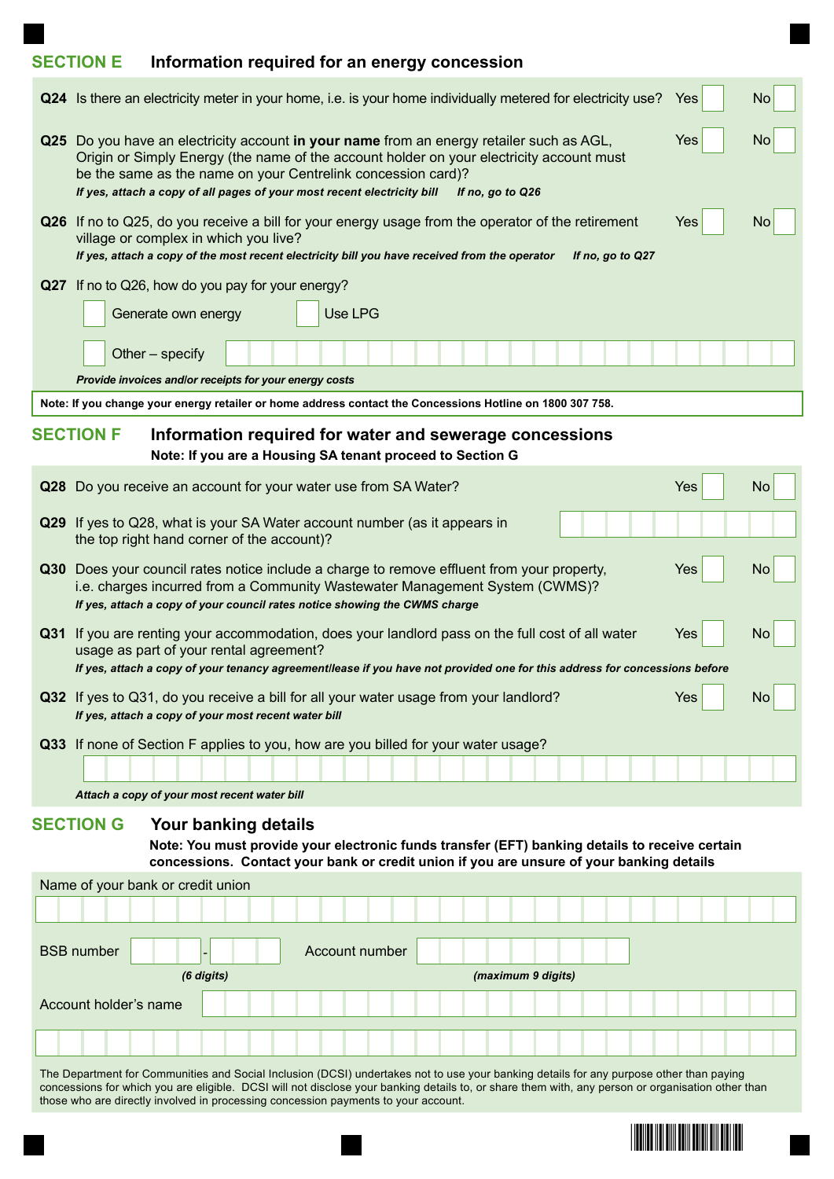# **SECTION E Information required for an energy concession**

| Q24 Is there an electricity meter in your home, i.e. is your home individually metered for electricity use?<br>Yes                                                                                                                                                                                                                                         | No        |  |  |  |  |  |  |  |
|------------------------------------------------------------------------------------------------------------------------------------------------------------------------------------------------------------------------------------------------------------------------------------------------------------------------------------------------------------|-----------|--|--|--|--|--|--|--|
| Q25 Do you have an electricity account in your name from an energy retailer such as AGL,<br>Yes<br>Origin or Simply Energy (the name of the account holder on your electricity account must<br>be the same as the name on your Centrelink concession card)?<br>If yes, attach a copy of all pages of your most recent electricity bill<br>If no, go to Q26 |           |  |  |  |  |  |  |  |
| Q26 If no to Q25, do you receive a bill for your energy usage from the operator of the retirement<br>Yes<br>village or complex in which you live?<br>If yes, attach a copy of the most recent electricity bill you have received from the operator<br>If no, go to Q27                                                                                     | No        |  |  |  |  |  |  |  |
| Q27 If no to Q26, how do you pay for your energy?                                                                                                                                                                                                                                                                                                          |           |  |  |  |  |  |  |  |
| Use LPG<br>Generate own energy                                                                                                                                                                                                                                                                                                                             |           |  |  |  |  |  |  |  |
| Other - specify                                                                                                                                                                                                                                                                                                                                            |           |  |  |  |  |  |  |  |
| Provide invoices and/or receipts for your energy costs                                                                                                                                                                                                                                                                                                     |           |  |  |  |  |  |  |  |
| Note: If you change your energy retailer or home address contact the Concessions Hotline on 1800 307 758.                                                                                                                                                                                                                                                  |           |  |  |  |  |  |  |  |
| <b>SECTION F</b><br>Information required for water and sewerage concessions<br>Note: If you are a Housing SA tenant proceed to Section G                                                                                                                                                                                                                   |           |  |  |  |  |  |  |  |
| Yes<br>Q28 Do you receive an account for your water use from SA Water?                                                                                                                                                                                                                                                                                     | <b>No</b> |  |  |  |  |  |  |  |
| Q29 If yes to Q28, what is your SA Water account number (as it appears in<br>the top right hand corner of the account)?                                                                                                                                                                                                                                    |           |  |  |  |  |  |  |  |
| Q30 Does your council rates notice include a charge to remove effluent from your property,<br>Yes<br>i.e. charges incurred from a Community Wastewater Management System (CWMS)?<br>If yes, attach a copy of your council rates notice showing the CWMS charge                                                                                             | No        |  |  |  |  |  |  |  |
| Q31 If you are renting your accommodation, does your landlord pass on the full cost of all water<br>Yes<br>usage as part of your rental agreement?<br>If yes, attach a copy of your tenancy agreementllease if you have not provided one for this address for concessions before                                                                           | No        |  |  |  |  |  |  |  |
| Q32 If yes to Q31, do you receive a bill for all your water usage from your landlord?<br><b>Yes</b><br>If yes, attach a copy of your most recent water bill                                                                                                                                                                                                | No        |  |  |  |  |  |  |  |
| Q33 If none of Section F applies to you, how are you billed for your water usage?                                                                                                                                                                                                                                                                          |           |  |  |  |  |  |  |  |
|                                                                                                                                                                                                                                                                                                                                                            |           |  |  |  |  |  |  |  |
| Attach a copy of your most recent water bill                                                                                                                                                                                                                                                                                                               |           |  |  |  |  |  |  |  |
| <b>SECTION G</b><br>Your banking details<br>Note: You must provide your electronic funds transfer (EFT) banking details to receive certain<br>concessions. Contact your bank or credit union if you are unsure of your banking details                                                                                                                     |           |  |  |  |  |  |  |  |
| Name of your bank or credit union                                                                                                                                                                                                                                                                                                                          |           |  |  |  |  |  |  |  |
|                                                                                                                                                                                                                                                                                                                                                            |           |  |  |  |  |  |  |  |
| <b>BSB</b> number<br>Account number                                                                                                                                                                                                                                                                                                                        |           |  |  |  |  |  |  |  |
| (6 digits)<br>(maximum 9 digits)                                                                                                                                                                                                                                                                                                                           |           |  |  |  |  |  |  |  |
| Account holder's name                                                                                                                                                                                                                                                                                                                                      |           |  |  |  |  |  |  |  |
|                                                                                                                                                                                                                                                                                                                                                            |           |  |  |  |  |  |  |  |
| The Department for Communities and Social Inclusion (DCSI) undertakes not to use your banking details for any purpose other than paying                                                                                                                                                                                                                    |           |  |  |  |  |  |  |  |

The Department for Communities and Social Inclusion (DCSI) undertakes not to use your banking details for any purpose other than paying concessions for which you are eligible. DCSI will not disclose your banking details to, or share them with, any person or organisation other than those who are directly involved in processing concession payments to your account.

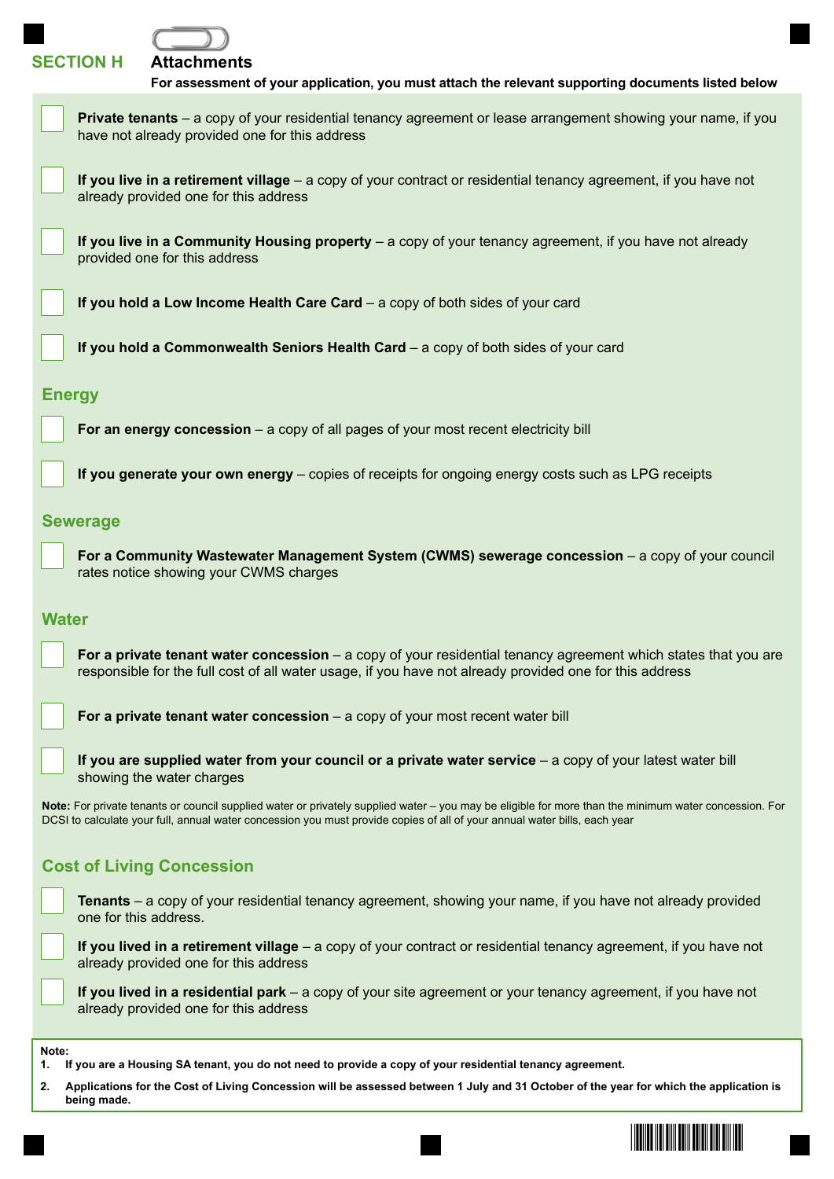## **SECTION H Attachments**

| For assessment of your application, you must attach the relevant supporting documents listed below                                                                                                                                                                                 |
|------------------------------------------------------------------------------------------------------------------------------------------------------------------------------------------------------------------------------------------------------------------------------------|
| <b>Private tenants</b> – a copy of your residential tenancy agreement or lease arrangement showing your name, if you<br>have not already provided one for this address                                                                                                             |
| If you live in a retirement village – a copy of your contract or residential tenancy agreement, if you have not<br>already provided one for this address                                                                                                                           |
| If you live in a Community Housing property - a copy of your tenancy agreement, if you have not already<br>provided one for this address                                                                                                                                           |
| If you hold a Low Income Health Care Card - a copy of both sides of your card                                                                                                                                                                                                      |
| If you hold a Commonwealth Seniors Health Card - a copy of both sides of your card                                                                                                                                                                                                 |
| <b>Energy</b>                                                                                                                                                                                                                                                                      |
| For an energy concession – a copy of all pages of your most recent electricity bill                                                                                                                                                                                                |
| If you generate your own energy – copies of receipts for ongoing energy costs such as LPG receipts                                                                                                                                                                                 |
| <b>Sewerage</b>                                                                                                                                                                                                                                                                    |
| For a Community Wastewater Management System (CWMS) sewerage concession - a copy of your council<br>rates notice showing your CWMS charges                                                                                                                                         |
| <b>Water</b>                                                                                                                                                                                                                                                                       |
| For a private tenant water concession – a copy of your residential tenancy agreement which states that you are<br>responsible for the full cost of all water usage, if you have not already provided one for this address                                                          |
| For a private tenant water concession - a copy of your most recent water bill                                                                                                                                                                                                      |
| If you are supplied water from your council or a private water service $-$ a copy of your latest water bill<br>showing the water charges                                                                                                                                           |
| Note: For private tenants or council supplied water or privately supplied water - you may be eligible for more than the minimum water concession. For<br>DCSI to calculate your full, annual water concession you must provide copies of all of your annual water bills, each year |
| <b>Cost of Living Concession</b>                                                                                                                                                                                                                                                   |
| <b>Tenants</b> – a copy of your residential tenancy agreement, showing your name, if you have not already provided<br>one for this address.                                                                                                                                        |

**If you lived in a retirement village** – a copy of your contract or residential tenancy agreement, if you have not already provided one for this address

**If you lived in a residential park** – a copy of your site agreement or your tenancy agreement, if you have not already provided one for this address

**Note:**

- **1. If you are a Housing SA tenant, you do not need to provide a copy of your residential tenancy agreement.**
- **2. Applications for the Cost of Living Concession will be assessed between 1 July and 31 October of the year for which the application is being made.**